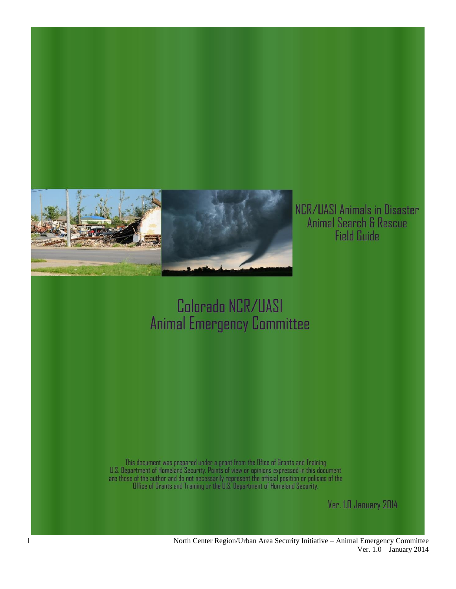

NCR/UASI Animals in Disaster Animal Search & Rescue<br>Field Guide

# Colorado NCR/UASI **Animal Emergency Committee**

This document was prepared under a grant from the Ofice of Grants and Training<br>U.S. Department of Homeland Security. Points of view or opinions expressed in this document<br>are those of the author and do not necessarily repr

Ver. 1.0 January 2014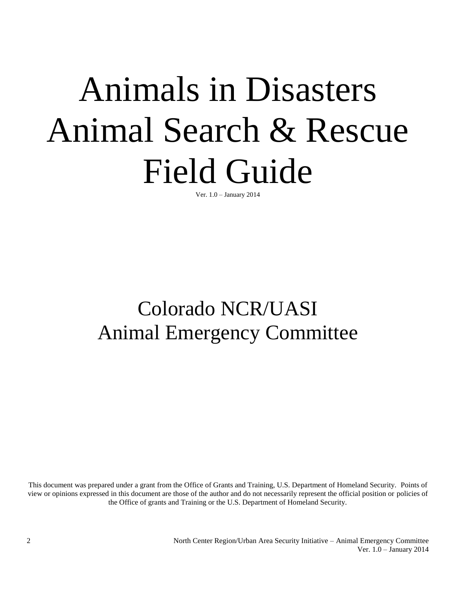# Animals in Disasters Animal Search & Rescue Field Guide

Ver. 1.0 – January 2014

# Colorado NCR/UASI Animal Emergency Committee

This document was prepared under a grant from the Office of Grants and Training, U.S. Department of Homeland Security. Points of view or opinions expressed in this document are those of the author and do not necessarily represent the official position or policies of the Office of grants and Training or the U.S. Department of Homeland Security.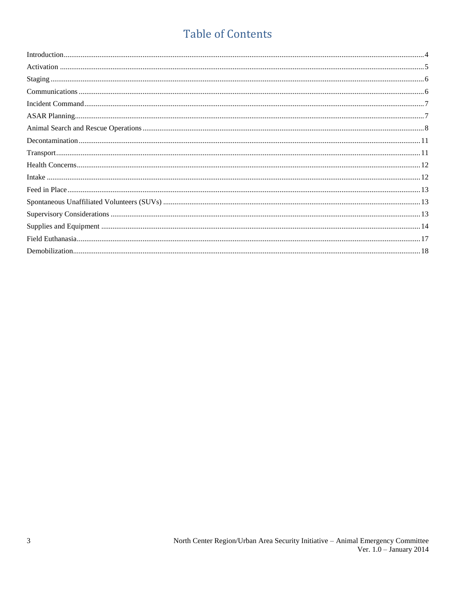#### **Table of Contents**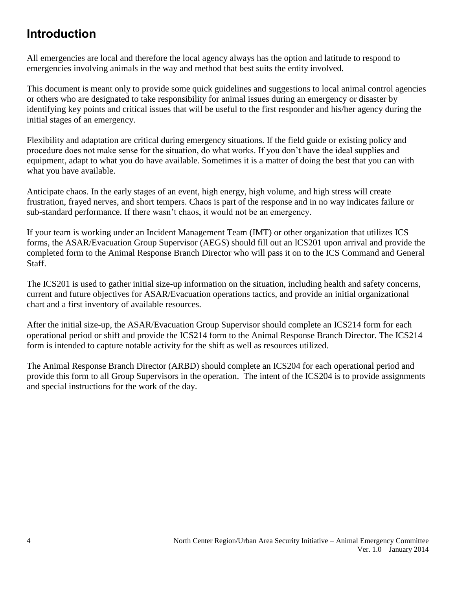#### <span id="page-3-0"></span>**Introduction**

All emergencies are local and therefore the local agency always has the option and latitude to respond to emergencies involving animals in the way and method that best suits the entity involved.

This document is meant only to provide some quick guidelines and suggestions to local animal control agencies or others who are designated to take responsibility for animal issues during an emergency or disaster by identifying key points and critical issues that will be useful to the first responder and his/her agency during the initial stages of an emergency.

Flexibility and adaptation are critical during emergency situations. If the field guide or existing policy and procedure does not make sense for the situation, do what works. If you don't have the ideal supplies and equipment, adapt to what you do have available. Sometimes it is a matter of doing the best that you can with what you have available.

Anticipate chaos. In the early stages of an event, high energy, high volume, and high stress will create frustration, frayed nerves, and short tempers. Chaos is part of the response and in no way indicates failure or sub-standard performance. If there wasn't chaos, it would not be an emergency.

If your team is working under an Incident Management Team (IMT) or other organization that utilizes ICS forms, the ASAR/Evacuation Group Supervisor (AEGS) should fill out an ICS201 upon arrival and provide the completed form to the Animal Response Branch Director who will pass it on to the ICS Command and General Staff.

The ICS201 is used to gather initial size-up information on the situation, including health and safety concerns, current and future objectives for ASAR/Evacuation operations tactics, and provide an initial organizational chart and a first inventory of available resources.

After the initial size-up, the ASAR/Evacuation Group Supervisor should complete an ICS214 form for each operational period or shift and provide the ICS214 form to the Animal Response Branch Director. The ICS214 form is intended to capture notable activity for the shift as well as resources utilized.

The Animal Response Branch Director (ARBD) should complete an ICS204 for each operational period and provide this form to all Group Supervisors in the operation. The intent of the ICS204 is to provide assignments and special instructions for the work of the day.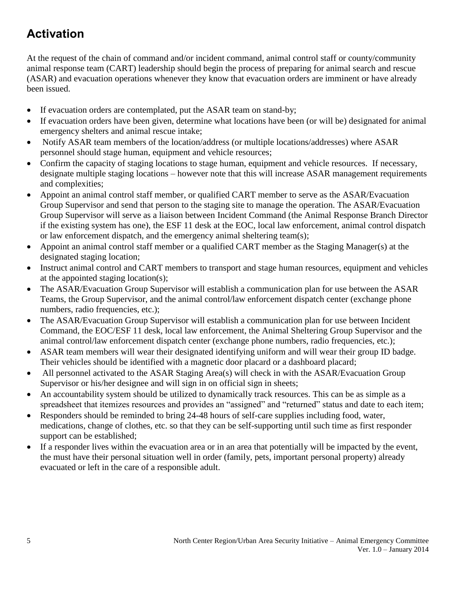#### <span id="page-4-0"></span>**Activation**

At the request of the chain of command and/or incident command, animal control staff or county/community animal response team (CART) leadership should begin the process of preparing for animal search and rescue (ASAR) and evacuation operations whenever they know that evacuation orders are imminent or have already been issued.

- If evacuation orders are contemplated, put the ASAR team on stand-by;
- If evacuation orders have been given, determine what locations have been (or will be) designated for animal emergency shelters and animal rescue intake;
- Notify ASAR team members of the location/address (or multiple locations/addresses) where ASAR personnel should stage human, equipment and vehicle resources;
- Confirm the capacity of staging locations to stage human, equipment and vehicle resources. If necessary, designate multiple staging locations – however note that this will increase ASAR management requirements and complexities;
- Appoint an animal control staff member, or qualified CART member to serve as the ASAR/Evacuation Group Supervisor and send that person to the staging site to manage the operation. The ASAR/Evacuation Group Supervisor will serve as a liaison between Incident Command (the Animal Response Branch Director if the existing system has one), the ESF 11 desk at the EOC, local law enforcement, animal control dispatch or law enforcement dispatch, and the emergency animal sheltering team(s);
- Appoint an animal control staff member or a qualified CART member as the Staging Manager(s) at the designated staging location;
- Instruct animal control and CART members to transport and stage human resources, equipment and vehicles at the appointed staging location(s);
- The ASAR/Evacuation Group Supervisor will establish a communication plan for use between the ASAR Teams, the Group Supervisor, and the animal control/law enforcement dispatch center (exchange phone numbers, radio frequencies, etc.);
- The ASAR/Evacuation Group Supervisor will establish a communication plan for use between Incident Command, the EOC/ESF 11 desk, local law enforcement, the Animal Sheltering Group Supervisor and the animal control/law enforcement dispatch center (exchange phone numbers, radio frequencies, etc.);
- ASAR team members will wear their designated identifying uniform and will wear their group ID badge. Their vehicles should be identified with a magnetic door placard or a dashboard placard;
- All personnel activated to the ASAR Staging Area(s) will check in with the ASAR/Evacuation Group Supervisor or his/her designee and will sign in on official sign in sheets;
- An accountability system should be utilized to dynamically track resources. This can be as simple as a spreadsheet that itemizes resources and provides an "assigned" and "returned" status and date to each item;
- Responders should be reminded to bring 24-48 hours of self-care supplies including food, water, medications, change of clothes, etc. so that they can be self-supporting until such time as first responder support can be established;
- If a responder lives within the evacuation area or in an area that potentially will be impacted by the event, the must have their personal situation well in order (family, pets, important personal property) already evacuated or left in the care of a responsible adult.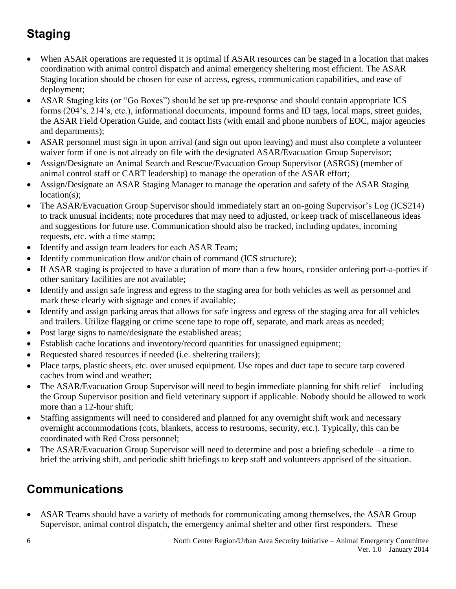## <span id="page-5-0"></span>**Staging**

- When ASAR operations are requested it is optimal if ASAR resources can be staged in a location that makes coordination with animal control dispatch and animal emergency sheltering most efficient. The ASAR Staging location should be chosen for ease of access, egress, communication capabilities, and ease of deployment;
- ASAR Staging kits (or "Go Boxes") should be set up pre-response and should contain appropriate ICS forms (204's, 214's, etc.), informational documents, impound forms and ID tags, local maps, street guides, the ASAR Field Operation Guide, and contact lists (with email and phone numbers of EOC, major agencies and departments);
- ASAR personnel must sign in upon arrival (and sign out upon leaving) and must also complete a volunteer waiver form if one is not already on file with the designated ASAR/Evacuation Group Supervisor;
- Assign/Designate an Animal Search and Rescue/Evacuation Group Supervisor (ASRGS) (member of animal control staff or CART leadership) to manage the operation of the ASAR effort;
- Assign/Designate an ASAR Staging Manager to manage the operation and safety of the ASAR Staging location(s);
- The ASAR/Evacuation Group Supervisor should immediately start an on-going Supervisor's Log (ICS214) to track unusual incidents; note procedures that may need to adjusted, or keep track of miscellaneous ideas and suggestions for future use. Communication should also be tracked, including updates, incoming requests, etc. with a time stamp;
- Identify and assign team leaders for each ASAR Team;
- Identify communication flow and/or chain of command (ICS structure);
- If ASAR staging is projected to have a duration of more than a few hours, consider ordering port-a-potties if other sanitary facilities are not available;
- Identify and assign safe ingress and egress to the staging area for both vehicles as well as personnel and mark these clearly with signage and cones if available;
- Identify and assign parking areas that allows for safe ingress and egress of the staging area for all vehicles and trailers. Utilize flagging or crime scene tape to rope off, separate, and mark areas as needed;
- Post large signs to name/designate the established areas;
- Establish cache locations and inventory/record quantities for unassigned equipment;
- Requested shared resources if needed (i.e. sheltering trailers);
- Place tarps, plastic sheets, etc. over unused equipment. Use ropes and duct tape to secure tarp covered caches from wind and weather;
- The ASAR/Evacuation Group Supervisor will need to begin immediate planning for shift relief including the Group Supervisor position and field veterinary support if applicable. Nobody should be allowed to work more than a 12-hour shift;
- Staffing assignments will need to considered and planned for any overnight shift work and necessary overnight accommodations (cots, blankets, access to restrooms, security, etc.). Typically, this can be coordinated with Red Cross personnel;
- The ASAR/Evacuation Group Supervisor will need to determine and post a briefing schedule a time to brief the arriving shift, and periodic shift briefings to keep staff and volunteers apprised of the situation.

#### <span id="page-5-1"></span>**Communications**

 ASAR Teams should have a variety of methods for communicating among themselves, the ASAR Group Supervisor, animal control dispatch, the emergency animal shelter and other first responders. These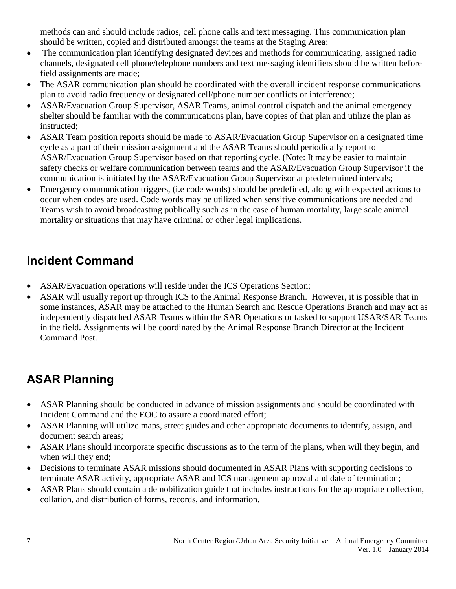methods can and should include radios, cell phone calls and text messaging. This communication plan should be written, copied and distributed amongst the teams at the Staging Area;

- The communication plan identifying designated devices and methods for communicating, assigned radio channels, designated cell phone/telephone numbers and text messaging identifiers should be written before field assignments are made;
- The ASAR communication plan should be coordinated with the overall incident response communications plan to avoid radio frequency or designated cell/phone number conflicts or interference;
- ASAR/Evacuation Group Supervisor, ASAR Teams, animal control dispatch and the animal emergency shelter should be familiar with the communications plan, have copies of that plan and utilize the plan as instructed;
- ASAR Team position reports should be made to ASAR/Evacuation Group Supervisor on a designated time cycle as a part of their mission assignment and the ASAR Teams should periodically report to ASAR/Evacuation Group Supervisor based on that reporting cycle. (Note: It may be easier to maintain safety checks or welfare communication between teams and the ASAR/Evacuation Group Supervisor if the communication is initiated by the ASAR/Evacuation Group Supervisor at predetermined intervals;
- Emergency communication triggers, (i.e code words) should be predefined, along with expected actions to occur when codes are used. Code words may be utilized when sensitive communications are needed and Teams wish to avoid broadcasting publically such as in the case of human mortality, large scale animal mortality or situations that may have criminal or other legal implications.

#### <span id="page-6-0"></span>**Incident Command**

- ASAR/Evacuation operations will reside under the ICS Operations Section;
- ASAR will usually report up through ICS to the Animal Response Branch. However, it is possible that in some instances, ASAR may be attached to the Human Search and Rescue Operations Branch and may act as independently dispatched ASAR Teams within the SAR Operations or tasked to support USAR/SAR Teams in the field. Assignments will be coordinated by the Animal Response Branch Director at the Incident Command Post.

#### <span id="page-6-1"></span>**ASAR Planning**

- ASAR Planning should be conducted in advance of mission assignments and should be coordinated with Incident Command and the EOC to assure a coordinated effort;
- ASAR Planning will utilize maps, street guides and other appropriate documents to identify, assign, and document search areas;
- ASAR Plans should incorporate specific discussions as to the term of the plans, when will they begin, and when will they end;
- Decisions to terminate ASAR missions should documented in ASAR Plans with supporting decisions to terminate ASAR activity, appropriate ASAR and ICS management approval and date of termination;
- ASAR Plans should contain a demobilization guide that includes instructions for the appropriate collection, collation, and distribution of forms, records, and information.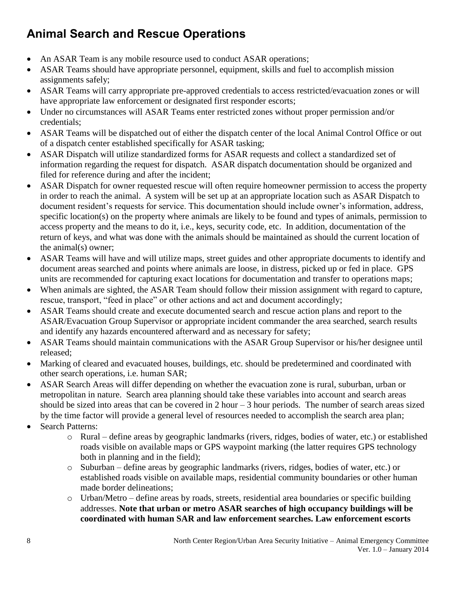#### <span id="page-7-0"></span>**Animal Search and Rescue Operations**

- An ASAR Team is any mobile resource used to conduct ASAR operations;
- ASAR Teams should have appropriate personnel, equipment, skills and fuel to accomplish mission assignments safely;
- ASAR Teams will carry appropriate pre-approved credentials to access restricted/evacuation zones or will have appropriate law enforcement or designated first responder escorts;
- Under no circumstances will ASAR Teams enter restricted zones without proper permission and/or credentials;
- ASAR Teams will be dispatched out of either the dispatch center of the local Animal Control Office or out of a dispatch center established specifically for ASAR tasking;
- ASAR Dispatch will utilize standardized forms for ASAR requests and collect a standardized set of information regarding the request for dispatch. ASAR dispatch documentation should be organized and filed for reference during and after the incident;
- ASAR Dispatch for owner requested rescue will often require homeowner permission to access the property in order to reach the animal. A system will be set up at an appropriate location such as ASAR Dispatch to document resident's requests for service. This documentation should include owner's information, address, specific location(s) on the property where animals are likely to be found and types of animals, permission to access property and the means to do it, i.e., keys, security code, etc. In addition, documentation of the return of keys, and what was done with the animals should be maintained as should the current location of the animal(s) owner;
- ASAR Teams will have and will utilize maps, street guides and other appropriate documents to identify and document areas searched and points where animals are loose, in distress, picked up or fed in place. GPS units are recommended for capturing exact locations for documentation and transfer to operations maps;
- When animals are sighted, the ASAR Team should follow their mission assignment with regard to capture, rescue, transport, "feed in place" or other actions and act and document accordingly;
- ASAR Teams should create and execute documented search and rescue action plans and report to the ASAR/Evacuation Group Supervisor or appropriate incident commander the area searched, search results and identify any hazards encountered afterward and as necessary for safety;
- ASAR Teams should maintain communications with the ASAR Group Supervisor or his/her designee until released;
- Marking of cleared and evacuated houses, buildings, etc. should be predetermined and coordinated with other search operations, i.e. human SAR;
- ASAR Search Areas will differ depending on whether the evacuation zone is rural, suburban, urban or metropolitan in nature. Search area planning should take these variables into account and search areas should be sized into areas that can be covered in  $2$  hour  $-3$  hour periods. The number of search areas sized by the time factor will provide a general level of resources needed to accomplish the search area plan;
- Search Patterns:
	- o Rural define areas by geographic landmarks (rivers, ridges, bodies of water, etc.) or established roads visible on available maps or GPS waypoint marking (the latter requires GPS technology both in planning and in the field);
	- o Suburban define areas by geographic landmarks (rivers, ridges, bodies of water, etc.) or established roads visible on available maps, residential community boundaries or other human made border delineations;
	- o Urban/Metro define areas by roads, streets, residential area boundaries or specific building addresses. **Note that urban or metro ASAR searches of high occupancy buildings will be coordinated with human SAR and law enforcement searches. Law enforcement escorts**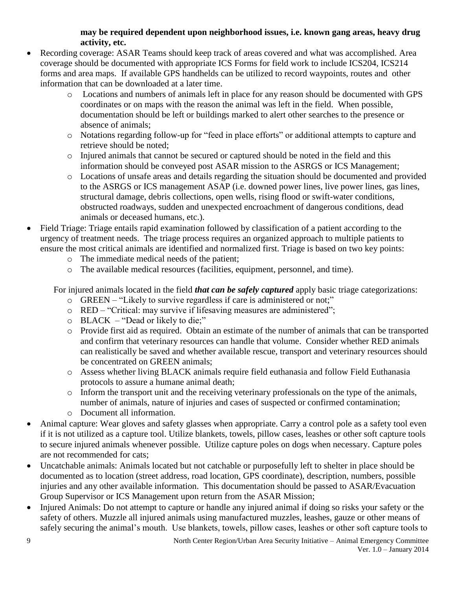#### **may be required dependent upon neighborhood issues, i.e. known gang areas, heavy drug activity, etc.**

- Recording coverage: ASAR Teams should keep track of areas covered and what was accomplished. Area coverage should be documented with appropriate ICS Forms for field work to include ICS204, ICS214 forms and area maps. If available GPS handhelds can be utilized to record waypoints, routes and other information that can be downloaded at a later time.
	- o Locations and numbers of animals left in place for any reason should be documented with GPS coordinates or on maps with the reason the animal was left in the field. When possible, documentation should be left or buildings marked to alert other searches to the presence or absence of animals;
	- o Notations regarding follow-up for "feed in place efforts" or additional attempts to capture and retrieve should be noted;
	- o Injured animals that cannot be secured or captured should be noted in the field and this information should be conveyed post ASAR mission to the ASRGS or ICS Management;
	- o Locations of unsafe areas and details regarding the situation should be documented and provided to the ASRGS or ICS management ASAP (i.e. downed power lines, live power lines, gas lines, structural damage, debris collections, open wells, rising flood or swift-water conditions, obstructed roadways, sudden and unexpected encroachment of dangerous conditions, dead animals or deceased humans, etc.).
- Field Triage: Triage entails rapid examination followed by classification of a patient according to the urgency of treatment needs. The triage process requires an organized approach to multiple patients to ensure the most critical animals are identified and normalized first. Triage is based on two key points:
	- o The immediate medical needs of the patient;
	- o The available medical resources (facilities, equipment, personnel, and time).

For injured animals located in the field *that can be safely captured* apply basic triage categorizations:

- o GREEN "Likely to survive regardless if care is administered or not;"
- o RED "Critical: may survive if lifesaving measures are administered";
- o BLACK "Dead or likely to die;"
- o Provide first aid as required. Obtain an estimate of the number of animals that can be transported and confirm that veterinary resources can handle that volume. Consider whether RED animals can realistically be saved and whether available rescue, transport and veterinary resources should be concentrated on GREEN animals;
- o Assess whether living BLACK animals require field euthanasia and follow Field Euthanasia protocols to assure a humane animal death;
- o Inform the transport unit and the receiving veterinary professionals on the type of the animals, number of animals, nature of injuries and cases of suspected or confirmed contamination;
- o Document all information.
- Animal capture: Wear gloves and safety glasses when appropriate. Carry a control pole as a safety tool even if it is not utilized as a capture tool. Utilize blankets, towels, pillow cases, leashes or other soft capture tools to secure injured animals whenever possible. Utilize capture poles on dogs when necessary. Capture poles are not recommended for cats;
- Uncatchable animals: Animals located but not catchable or purposefully left to shelter in place should be documented as to location (street address, road location, GPS coordinate), description, numbers, possible injuries and any other available information. This documentation should be passed to ASAR/Evacuation Group Supervisor or ICS Management upon return from the ASAR Mission;
- Injured Animals: Do not attempt to capture or handle any injured animal if doing so risks your safety or the safety of others. Muzzle all injured animals using manufactured muzzles, leashes, gauze or other means of safely securing the animal's mouth. Use blankets, towels, pillow cases, leashes or other soft capture tools to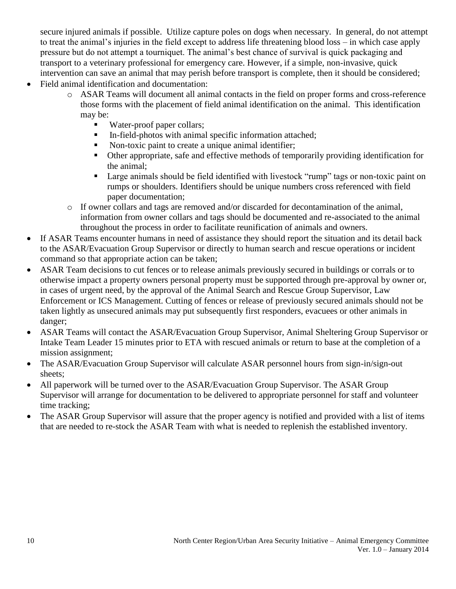secure injured animals if possible. Utilize capture poles on dogs when necessary. In general, do not attempt to treat the animal's injuries in the field except to address life threatening blood loss – in which case apply pressure but do not attempt a tourniquet. The animal's best chance of survival is quick packaging and transport to a veterinary professional for emergency care. However, if a simple, non-invasive, quick intervention can save an animal that may perish before transport is complete, then it should be considered; Field animal identification and documentation:

- o ASAR Teams will document all animal contacts in the field on proper forms and cross-reference those forms with the placement of field animal identification on the animal. This identification may be:
	- Water-proof paper collars;
	- In-field-photos with animal specific information attached;
	- Non-toxic paint to create a unique animal identifier;
	- Other appropriate, safe and effective methods of temporarily providing identification for the animal;
	- Large animals should be field identified with livestock "rump" tags or non-toxic paint on rumps or shoulders. Identifiers should be unique numbers cross referenced with field paper documentation;
- o If owner collars and tags are removed and/or discarded for decontamination of the animal, information from owner collars and tags should be documented and re-associated to the animal throughout the process in order to facilitate reunification of animals and owners.
- If ASAR Teams encounter humans in need of assistance they should report the situation and its detail back to the ASAR/Evacuation Group Supervisor or directly to human search and rescue operations or incident command so that appropriate action can be taken;
- ASAR Team decisions to cut fences or to release animals previously secured in buildings or corrals or to otherwise impact a property owners personal property must be supported through pre-approval by owner or, in cases of urgent need, by the approval of the Animal Search and Rescue Group Supervisor, Law Enforcement or ICS Management. Cutting of fences or release of previously secured animals should not be taken lightly as unsecured animals may put subsequently first responders, evacuees or other animals in danger;
- ASAR Teams will contact the ASAR/Evacuation Group Supervisor, Animal Sheltering Group Supervisor or Intake Team Leader 15 minutes prior to ETA with rescued animals or return to base at the completion of a mission assignment;
- The ASAR/Evacuation Group Supervisor will calculate ASAR personnel hours from sign-in/sign-out sheets;
- All paperwork will be turned over to the ASAR/Evacuation Group Supervisor. The ASAR Group Supervisor will arrange for documentation to be delivered to appropriate personnel for staff and volunteer time tracking;
- The ASAR Group Supervisor will assure that the proper agency is notified and provided with a list of items that are needed to re-stock the ASAR Team with what is needed to replenish the established inventory.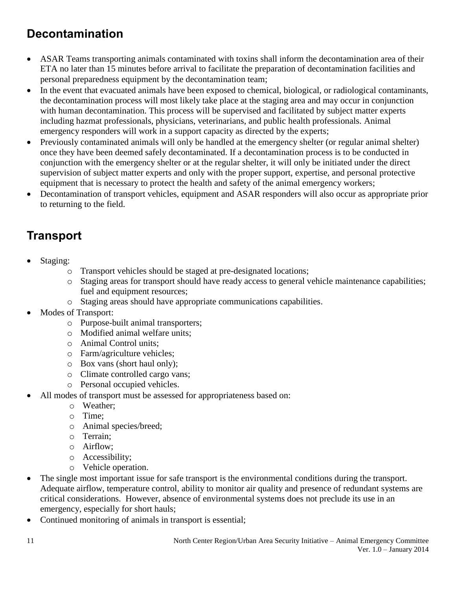#### <span id="page-10-0"></span>**Decontamination**

- ASAR Teams transporting animals contaminated with toxins shall inform the decontamination area of their ETA no later than 15 minutes before arrival to facilitate the preparation of decontamination facilities and personal preparedness equipment by the decontamination team;
- In the event that evacuated animals have been exposed to chemical, biological, or radiological contaminants, the decontamination process will most likely take place at the staging area and may occur in conjunction with human decontamination. This process will be supervised and facilitated by subject matter experts including hazmat professionals, physicians, veterinarians, and public health professionals. Animal emergency responders will work in a support capacity as directed by the experts;
- Previously contaminated animals will only be handled at the emergency shelter (or regular animal shelter) once they have been deemed safely decontaminated. If a decontamination process is to be conducted in conjunction with the emergency shelter or at the regular shelter, it will only be initiated under the direct supervision of subject matter experts and only with the proper support, expertise, and personal protective equipment that is necessary to protect the health and safety of the animal emergency workers;
- Decontamination of transport vehicles, equipment and ASAR responders will also occur as appropriate prior to returning to the field.

### <span id="page-10-1"></span>**Transport**

- Staging:
	- o Transport vehicles should be staged at pre-designated locations;
	- o Staging areas for transport should have ready access to general vehicle maintenance capabilities; fuel and equipment resources;
	- o Staging areas should have appropriate communications capabilities.
- Modes of Transport:
	- o Purpose-built animal transporters;
	- o Modified animal welfare units;
	- o Animal Control units;
	- o Farm/agriculture vehicles;
	- o Box vans (short haul only);
	- o Climate controlled cargo vans;
	- o Personal occupied vehicles.
- All modes of transport must be assessed for appropriateness based on:
	- o Weather;
	- o Time;
	- o Animal species/breed;
	- o Terrain;
	- o Airflow;
	- o Accessibility;
	- o Vehicle operation.
- The single most important issue for safe transport is the environmental conditions during the transport. Adequate airflow, temperature control, ability to monitor air quality and presence of redundant systems are critical considerations. However, absence of environmental systems does not preclude its use in an emergency, especially for short hauls;
- Continued monitoring of animals in transport is essential;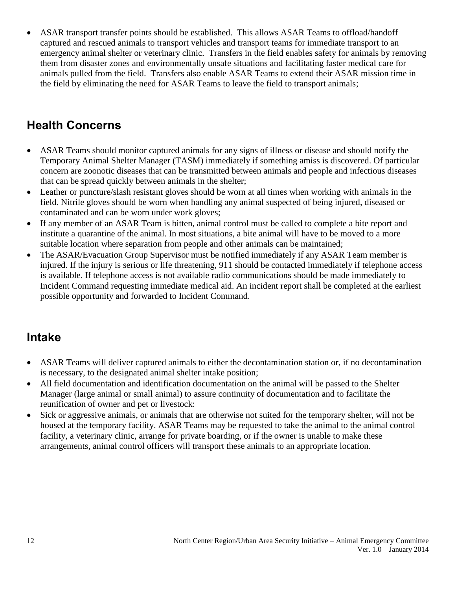ASAR transport transfer points should be established. This allows ASAR Teams to offload/handoff captured and rescued animals to transport vehicles and transport teams for immediate transport to an emergency animal shelter or veterinary clinic. Transfers in the field enables safety for animals by removing them from disaster zones and environmentally unsafe situations and facilitating faster medical care for animals pulled from the field. Transfers also enable ASAR Teams to extend their ASAR mission time in the field by eliminating the need for ASAR Teams to leave the field to transport animals;

#### <span id="page-11-0"></span>**Health Concerns**

- ASAR Teams should monitor captured animals for any signs of illness or disease and should notify the Temporary Animal Shelter Manager (TASM) immediately if something amiss is discovered. Of particular concern are zoonotic diseases that can be transmitted between animals and people and infectious diseases that can be spread quickly between animals in the shelter;
- Leather or puncture/slash resistant gloves should be worn at all times when working with animals in the field. Nitrile gloves should be worn when handling any animal suspected of being injured, diseased or contaminated and can be worn under work gloves;
- If any member of an ASAR Team is bitten, animal control must be called to complete a bite report and institute a quarantine of the animal. In most situations, a bite animal will have to be moved to a more suitable location where separation from people and other animals can be maintained;
- The ASAR/Evacuation Group Supervisor must be notified immediately if any ASAR Team member is injured. If the injury is serious or life threatening, 911 should be contacted immediately if telephone access is available. If telephone access is not available radio communications should be made immediately to Incident Command requesting immediate medical aid. An incident report shall be completed at the earliest possible opportunity and forwarded to Incident Command.

#### <span id="page-11-1"></span>**Intake**

- ASAR Teams will deliver captured animals to either the decontamination station or, if no decontamination is necessary, to the designated animal shelter intake position;
- All field documentation and identification documentation on the animal will be passed to the Shelter Manager (large animal or small animal) to assure continuity of documentation and to facilitate the reunification of owner and pet or livestock:
- Sick or aggressive animals, or animals that are otherwise not suited for the temporary shelter, will not be housed at the temporary facility. ASAR Teams may be requested to take the animal to the animal control facility, a veterinary clinic, arrange for private boarding, or if the owner is unable to make these arrangements, animal control officers will transport these animals to an appropriate location.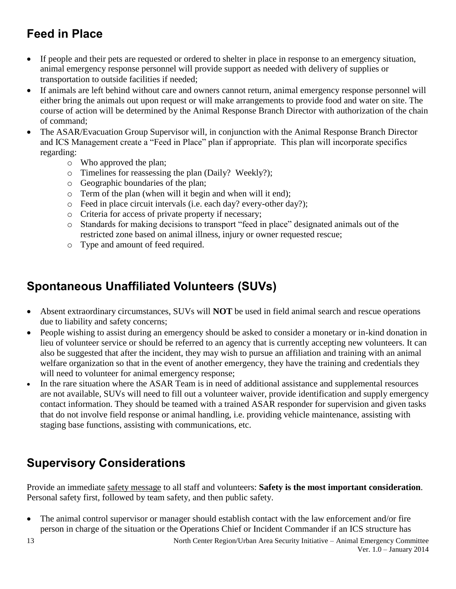#### <span id="page-12-0"></span>**Feed in Place**

- If people and their pets are requested or ordered to shelter in place in response to an emergency situation, animal emergency response personnel will provide support as needed with delivery of supplies or transportation to outside facilities if needed;
- If animals are left behind without care and owners cannot return, animal emergency response personnel will either bring the animals out upon request or will make arrangements to provide food and water on site. The course of action will be determined by the Animal Response Branch Director with authorization of the chain of command;
- The ASAR/Evacuation Group Supervisor will, in conjunction with the Animal Response Branch Director and ICS Management create a "Feed in Place" plan if appropriate. This plan will incorporate specifics regarding:
	- o Who approved the plan;
	- o Timelines for reassessing the plan (Daily? Weekly?);
	- o Geographic boundaries of the plan;
	- o Term of the plan (when will it begin and when will it end);
	- o Feed in place circuit intervals (i.e. each day? every-other day?);
	- o Criteria for access of private property if necessary;
	- o Standards for making decisions to transport "feed in place" designated animals out of the restricted zone based on animal illness, injury or owner requested rescue;
	- o Type and amount of feed required.

#### <span id="page-12-1"></span>**Spontaneous Unaffiliated Volunteers (SUVs)**

- Absent extraordinary circumstances, SUVs will **NOT** be used in field animal search and rescue operations due to liability and safety concerns;
- People wishing to assist during an emergency should be asked to consider a monetary or in-kind donation in lieu of volunteer service or should be referred to an agency that is currently accepting new volunteers. It can also be suggested that after the incident, they may wish to pursue an affiliation and training with an animal welfare organization so that in the event of another emergency, they have the training and credentials they will need to volunteer for animal emergency response;
- In the rare situation where the ASAR Team is in need of additional assistance and supplemental resources are not available, SUVs will need to fill out a volunteer waiver, provide identification and supply emergency contact information. They should be teamed with a trained ASAR responder for supervision and given tasks that do not involve field response or animal handling, i.e. providing vehicle maintenance, assisting with staging base functions, assisting with communications, etc.

#### <span id="page-12-2"></span>**Supervisory Considerations**

Provide an immediate safety message to all staff and volunteers: **Safety is the most important consideration**. Personal safety first, followed by team safety, and then public safety.

 The animal control supervisor or manager should establish contact with the law enforcement and/or fire person in charge of the situation or the Operations Chief or Incident Commander if an ICS structure has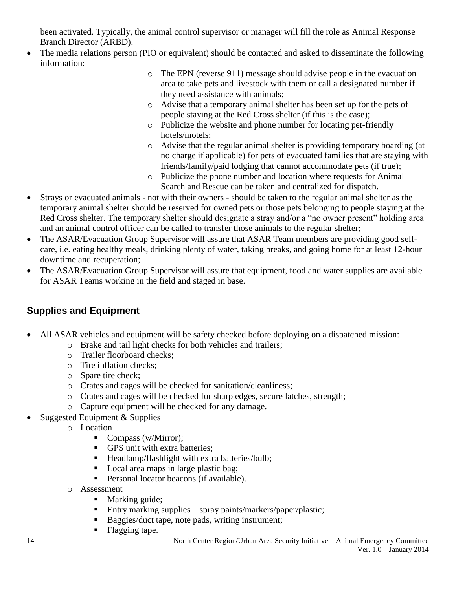been activated. Typically, the animal control supervisor or manager will fill the role as Animal Response Branch Director (ARBD).

- The media relations person (PIO or equivalent) should be contacted and asked to disseminate the following information:
	- o The EPN (reverse 911) message should advise people in the evacuation area to take pets and livestock with them or call a designated number if they need assistance with animals;
	- o Advise that a temporary animal shelter has been set up for the pets of people staying at the Red Cross shelter (if this is the case);
	- o Publicize the website and phone number for locating pet-friendly hotels/motels;
	- o Advise that the regular animal shelter is providing temporary boarding (at no charge if applicable) for pets of evacuated families that are staying with friends/family/paid lodging that cannot accommodate pets (if true);
	- o Publicize the phone number and location where requests for Animal Search and Rescue can be taken and centralized for dispatch.
- Strays or evacuated animals not with their owners should be taken to the regular animal shelter as the temporary animal shelter should be reserved for owned pets or those pets belonging to people staying at the Red Cross shelter. The temporary shelter should designate a stray and/or a "no owner present" holding area and an animal control officer can be called to transfer those animals to the regular shelter;
- The ASAR/Evacuation Group Supervisor will assure that ASAR Team members are providing good selfcare, i.e. eating healthy meals, drinking plenty of water, taking breaks, and going home for at least 12-hour downtime and recuperation;
- The ASAR/Evacuation Group Supervisor will assure that equipment, food and water supplies are available for ASAR Teams working in the field and staged in base.

#### <span id="page-13-0"></span>**Supplies and Equipment**

- All ASAR vehicles and equipment will be safety checked before deploying on a dispatched mission:
	- o Brake and tail light checks for both vehicles and trailers;
	- o Trailer floorboard checks;
	- o Tire inflation checks;
	- o Spare tire check;
	- o Crates and cages will be checked for sanitation/cleanliness;
	- o Crates and cages will be checked for sharp edges, secure latches, strength;
	- o Capture equipment will be checked for any damage.
- Suggested Equipment  $&$  Supplies
	- o Location
		- Compass (w/Mirror);
		- GPS unit with extra batteries;
		- Headlamp/flashlight with extra batteries/bulb;
		- Local area maps in large plastic bag;
		- **Personal locator beacons (if available).**
	- o Assessment
		- Marking guide;
		- Entry marking supplies spray paints/markers/paper/plastic;
		- Baggies/duct tape, note pads, writing instrument;
		- Flagging tape.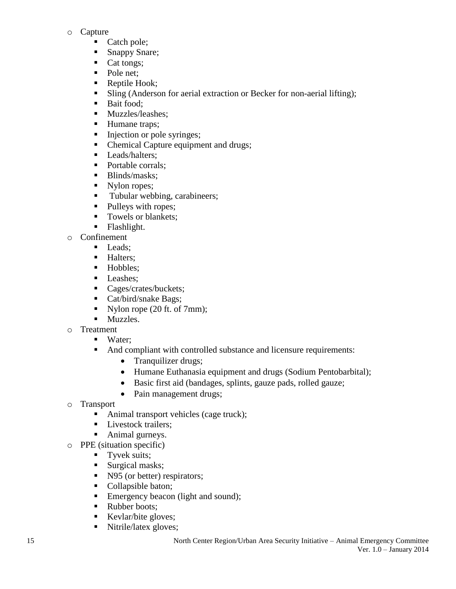- o Capture
	- Catch pole;
	- Snappy Snare;
	- Cat tongs;
	- Pole net;
	- Reptile Hook;
	- In Sling (Anderson for aerial extraction or Becker for non-aerial lifting);
	- **Bait food:**
	- **Muzzles/leashes;**
	- Humane traps;
	- Injection or pole syringes;
	- Chemical Capture equipment and drugs;
	- **Leads/halters:**
	- Portable corrals;
	- Blinds/masks;<br>• Nylon ropes;
	- Nylon ropes;
	- Tubular webbing, carabineers;
	- Pulleys with ropes;
	- Towels or blankets;
	- **Flashlight.**
- o Confinement
	- Leads:
	- **Halters:**
	- Hobbles;
	- Leashes;
	- Cages/crates/buckets;
	- Cat/bird/snake Bags;
	- Nylon rope  $(20 \text{ ft. of } 7 \text{ mm})$ ;
	- **Muzzles.**
- o Treatment
	- Water:
	- And compliant with controlled substance and licensure requirements:
		- Tranquilizer drugs;
		- Humane Euthanasia equipment and drugs (Sodium Pentobarbital);
		- Basic first aid (bandages, splints, gauze pads, rolled gauze;
		- Pain management drugs;
- o Transport
	- Animal transport vehicles (cage truck);
	- **Livestock trailers;**
	- Animal gurneys.
- o PPE (situation specific)
	- **Tyvek suits;**
	- Surgical masks;
	- N95 (or better) respirators;
	- Collapsible baton;
	- Emergency beacon (light and sound);
	- Rubber boots:
	- Kevlar/bite gloves;
	- Nitrile/latex gloves;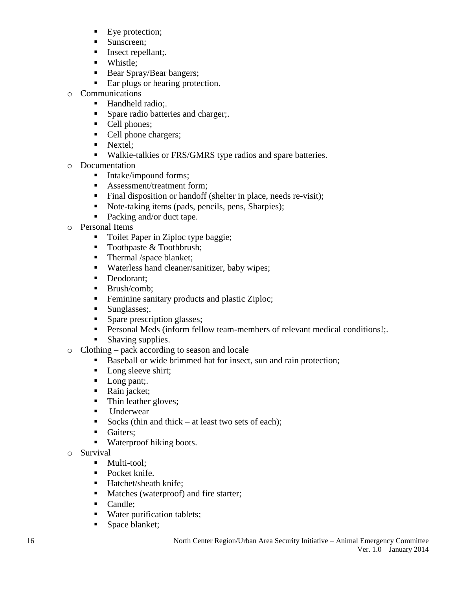- Eye protection;
- Sunscreen:
- Insect repellant;.
- Whistle;
- Bear Spray/Bear bangers;
- Ear plugs or hearing protection.
- o Communications
	- Handheld radio:.
	- **Spare radio batteries and charger;.**
	- Cell phones;
	- Cell phone chargers;
	- Nextel:
		- **Walkie-talkies or FRS/GMRS type radios and spare batteries.**
- o Documentation
	- Intake/impound forms;
	- Assessment/treatment form:
	- Final disposition or handoff (shelter in place, needs re-visit);
	- Note-taking items (pads, pencils, pens, Sharpies);
	- Packing and/or duct tape.
- o Personal Items
	- Toilet Paper in Ziploc type baggie;
	- Toothpaste  $& \text{Toothbrush};$
	- Thermal /space blanket;
	- Waterless hand cleaner/sanitizer, baby wipes;
	- Deodorant;
	- $\blacksquare$  Brush/comb:
	- Feminine sanitary products and plastic Ziploc;
	- Sunglasses:.
	- Spare prescription glasses;
	- **Personal Meds (inform fellow team-members of relevant medical conditions!:.**
	- **Shaving supplies.**
- o Clothing pack according to season and locale
	- Baseball or wide brimmed hat for insect, sun and rain protection;
	- Long sleeve shirt;
	- Long pant;
	- Rain jacket;
	- Thin leather gloves;
	- **Underwear**
	- Socks (thin and thick at least two sets of each);
	- Gaiters;
	- Waterproof hiking boots.
- o Survival
	- Multi-tool;
	- Pocket knife.
	- Hatchet/sheath knife;
	- Matches (waterproof) and fire starter;
	- Candle:
	- Water purification tablets;
	- Space blanket;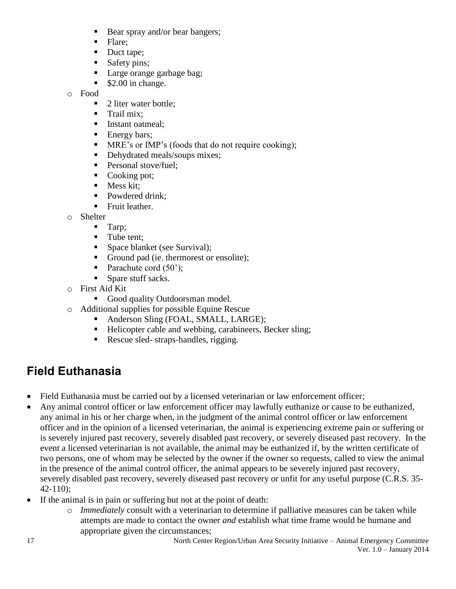- Bear spray and/or bear bangers;
- Flare:
- Duct tape;
- Safety pins;
- Large orange garbage bag;
- $\sim$  \$2.00 in change.

o Food

- 2 liter water bottle;
- $\blacksquare$  Trail mix:
- **Instant oatmeal;**
- **Energy bars:**
- MRE's or IMP's (foods that do not require cooking);
- Dehydrated meals/soups mixes;
- Personal stove/fuel;
- Cooking pot;
- $\blacksquare$  Mess kit:
- Powdered drink:
- **Fruit leather.**
- o Shelter
	- **Tarp**;
	- Tube tent;
	- **Space blanket (see Survival);**
	- Ground pad (ie. thermorest or ensolite);
	- Parachute cord  $(50')$ ;
	- Spare stuff sacks.
- o First Aid Kit
	- Good quality Outdoorsman model.
- o Additional supplies for possible Equine Rescue
	- Anderson Sling (FOAL, SMALL, LARGE);
	- Helicopter cable and webbing, carabineers, Becker sling;
	- Rescue sled- straps-handles, rigging.

#### <span id="page-16-0"></span>**Field Euthanasia**

- Field Euthanasia must be carried out by a licensed veterinarian or law enforcement officer;
- Any animal control officer or law enforcement officer may lawfully euthanize or cause to be euthanized, any animal in his or her charge when, in the judgment of the animal control officer or law enforcement officer and in the opinion of a licensed veterinarian, the animal is experiencing extreme pain or suffering or is severely injured past recovery, severely disabled past recovery, or severely diseased past recovery. In the event a licensed veterinarian is not available, the animal may be euthanized if, by the written certificate of two persons, one of whom may be selected by the owner if the owner so requests, called to view the animal in the presence of the animal control officer, the animal appears to be severely injured past recovery, severely disabled past recovery, severely diseased past recovery or unfit for any useful purpose (C.R.S. 35- 42-110);
- If the animal is in pain or suffering but not at the point of death:
	- o *Immediately* consult with a veterinarian to determine if palliative measures can be taken while attempts are made to contact the owner *and* establish what time frame would be humane and appropriate given the circumstances;